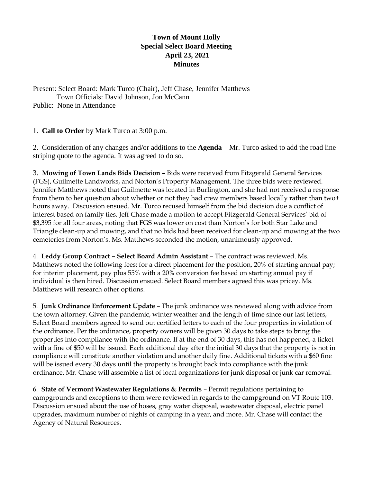## **Town of Mount Holly Special Select Board Meeting April 23, 2021 Minutes**

Present: Select Board: Mark Turco (Chair), Jeff Chase, Jennifer Matthews

Town Officials: David Johnson, Jon McCann

Public: None in Attendance

1. **Call to Order** by Mark Turco at 3:00 p.m.

2. Consideration of any changes and/or additions to the **Agenda** – Mr. Turco asked to add the road line striping quote to the agenda. It was agreed to do so.

3. **Mowing of Town Lands Bids Decision –** Bids were received from Fitzgerald General Services (FGS), Guilmette Landworks, and Norton's Property Management. The three bids were reviewed. Jennifer Matthews noted that Guilmette was located in Burlington, and she had not received a response from them to her question about whether or not they had crew members based locally rather than two+ hours away. Discussion ensued. Mr. Turco recused himself from the bid decision due a conflict of interest based on family ties. Jeff Chase made a motion to accept Fitzgerald General Services' bid of \$3,395 for all four areas, noting that FGS was lower on cost than Norton's for both Star Lake and Triangle clean-up and mowing, and that no bids had been received for clean-up and mowing at the two cemeteries from Norton's. Ms. Matthews seconded the motion, unanimously approved.

4. **Leddy Group Contract – Select Board Admin Assistant** – The contract was reviewed. Ms. Matthews noted the following fees: for a direct placement for the position, 20% of starting annual pay; for interim placement, pay plus 55% with a 20% conversion fee based on starting annual pay if individual is then hired. Discussion ensued. Select Board members agreed this was pricey. Ms. Matthews will research other options.

5. **Junk Ordinance Enforcement Update** – The junk ordinance was reviewed along with advice from the town attorney. Given the pandemic, winter weather and the length of time since our last letters, Select Board members agreed to send out certified letters to each of the four properties in violation of the ordinance. Per the ordinance, property owners will be given 30 days to take steps to bring the properties into compliance with the ordinance. If at the end of 30 days, this has not happened, a ticket with a fine of \$50 will be issued. Each additional day after the initial 30 days that the property is not in compliance will constitute another violation and another daily fine. Additional tickets with a \$60 fine will be issued every 30 days until the property is brought back into compliance with the junk ordinance. Mr. Chase will assemble a list of local organizations for junk disposal or junk car removal.

6. **State of Vermont Wastewater Regulations & Permits** – Permit regulations pertaining to campgrounds and exceptions to them were reviewed in regards to the campground on VT Route 103. Discussion ensued about the use of hoses, gray water disposal, wastewater disposal, electric panel upgrades, maximum number of nights of camping in a year, and more. Mr. Chase will contact the Agency of Natural Resources.